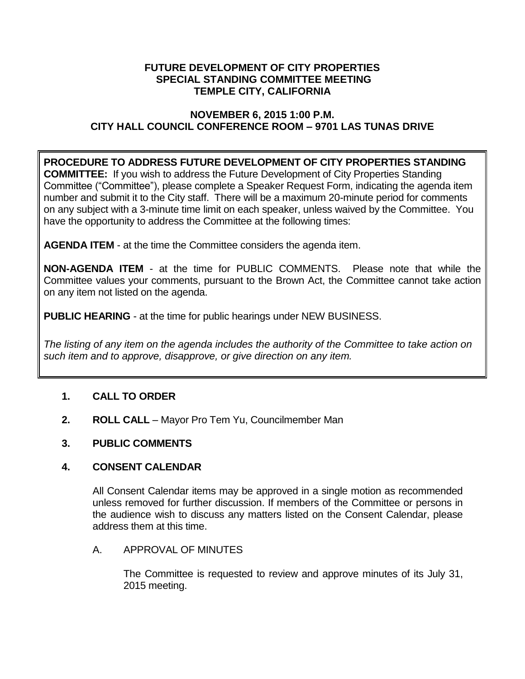#### **FUTURE DEVELOPMENT OF CITY PROPERTIES SPECIAL STANDING COMMITTEE MEETING TEMPLE CITY, CALIFORNIA**

### **NOVEMBER 6, 2015 1:00 P.M. CITY HALL COUNCIL CONFERENCE ROOM – 9701 LAS TUNAS DRIVE**

# **PROCEDURE TO ADDRESS FUTURE DEVELOPMENT OF CITY PROPERTIES STANDING**

**COMMITTEE:** If you wish to address the Future Development of City Properties Standing Committee ("Committee"), please complete a Speaker Request Form, indicating the agenda item number and submit it to the City staff. There will be a maximum 20-minute period for comments on any subject with a 3-minute time limit on each speaker, unless waived by the Committee. You have the opportunity to address the Committee at the following times:

**AGENDA ITEM** - at the time the Committee considers the agenda item.

**NON-AGENDA ITEM** - at the time for PUBLIC COMMENTS. Please note that while the Committee values your comments, pursuant to the Brown Act, the Committee cannot take action on any item not listed on the agenda.

**PUBLIC HEARING** - at the time for public hearings under NEW BUSINESS.

*The listing of any item on the agenda includes the authority of the Committee to take action on such item and to approve, disapprove, or give direction on any item.*

# **1. CALL TO ORDER**

**2. ROLL CALL** – Mayor Pro Tem Yu, Councilmember Man

# **3. PUBLIC COMMENTS**

# **4. CONSENT CALENDAR**

All Consent Calendar items may be approved in a single motion as recommended unless removed for further discussion. If members of the Committee or persons in the audience wish to discuss any matters listed on the Consent Calendar, please address them at this time.

# A. APPROVAL OF MINUTES

The Committee is requested to review and approve minutes of its July 31, 2015 meeting.